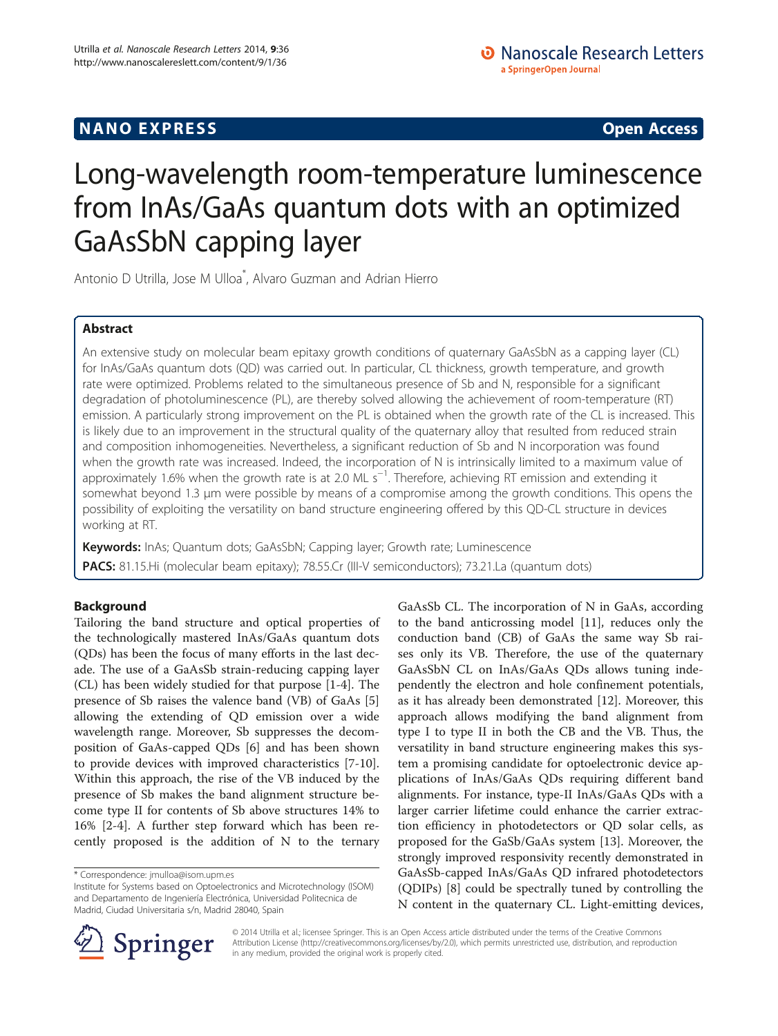# **NANO EXPRESS** Open Access **CONTROL**

# Long-wavelength room-temperature luminescence from InAs/GaAs quantum dots with an optimized GaAsSbN capping layer

Antonio D Utrilla, Jose M Ulloa\* , Alvaro Guzman and Adrian Hierro

# Abstract

An extensive study on molecular beam epitaxy growth conditions of quaternary GaAsSbN as a capping layer (CL) for InAs/GaAs quantum dots (QD) was carried out. In particular, CL thickness, growth temperature, and growth rate were optimized. Problems related to the simultaneous presence of Sb and N, responsible for a significant degradation of photoluminescence (PL), are thereby solved allowing the achievement of room-temperature (RT) emission. A particularly strong improvement on the PL is obtained when the growth rate of the CL is increased. This is likely due to an improvement in the structural quality of the quaternary alloy that resulted from reduced strain and composition inhomogeneities. Nevertheless, a significant reduction of Sb and N incorporation was found when the growth rate was increased. Indeed, the incorporation of N is intrinsically limited to a maximum value of approximately 1.6% when the growth rate is at 2.0 ML s<sup>−1</sup>. Therefore, achieving RT emission and extending it somewhat beyond 1.3 μm were possible by means of a compromise among the growth conditions. This opens the possibility of exploiting the versatility on band structure engineering offered by this QD-CL structure in devices working at RT.

Keywords: InAs; Quantum dots; GaAsSbN; Capping layer; Growth rate; Luminescence PACS: 81.15.Hi (molecular beam epitaxy); 78.55.Cr (III-V semiconductors); 73.21.La (quantum dots)

# Background

Tailoring the band structure and optical properties of the technologically mastered InAs/GaAs quantum dots (QDs) has been the focus of many efforts in the last decade. The use of a GaAsSb strain-reducing capping layer (CL) has been widely studied for that purpose [[1](#page-6-0)-[4\]](#page-6-0). The presence of Sb raises the valence band (VB) of GaAs [\[5](#page-6-0)] allowing the extending of QD emission over a wide wavelength range. Moreover, Sb suppresses the decomposition of GaAs-capped QDs [\[6](#page-6-0)] and has been shown to provide devices with improved characteristics [[7-10](#page-6-0)]. Within this approach, the rise of the VB induced by the presence of Sb makes the band alignment structure become type II for contents of Sb above structures 14% to 16% [\[2](#page-6-0)-[4\]](#page-6-0). A further step forward which has been recently proposed is the addition of N to the ternary

GaAsSb CL. The incorporation of N in GaAs, according to the band anticrossing model [[11](#page-6-0)], reduces only the conduction band (CB) of GaAs the same way Sb raises only its VB. Therefore, the use of the quaternary GaAsSbN CL on InAs/GaAs QDs allows tuning independently the electron and hole confinement potentials, as it has already been demonstrated [\[12](#page-6-0)]. Moreover, this approach allows modifying the band alignment from type I to type II in both the CB and the VB. Thus, the versatility in band structure engineering makes this system a promising candidate for optoelectronic device applications of InAs/GaAs QDs requiring different band alignments. For instance, type-II InAs/GaAs QDs with a larger carrier lifetime could enhance the carrier extraction efficiency in photodetectors or QD solar cells, as proposed for the GaSb/GaAs system [\[13](#page-6-0)]. Moreover, the strongly improved responsivity recently demonstrated in GaAsSb-capped InAs/GaAs QD infrared photodetectors (QDIPs) [[8\]](#page-6-0) could be spectrally tuned by controlling the N content in the quaternary CL. Light-emitting devices,



© 2014 Utrilla et al.; licensee Springer. This is an Open Access article distributed under the terms of the Creative Commons Attribution License [\(http://creativecommons.org/licenses/by/2.0\)](http://creativecommons.org/licenses/by/2.0), which permits unrestricted use, distribution, and reproduction in any medium, provided the original work is properly cited.

<sup>\*</sup> Correspondence: [jmulloa@isom.upm.es](mailto:jmulloa@isom.upm.es)

Institute for Systems based on Optoelectronics and Microtechnology (ISOM) and Departamento de Ingeniería Electrónica, Universidad Politecnica de Madrid, Ciudad Universitaria s/n, Madrid 28040, Spain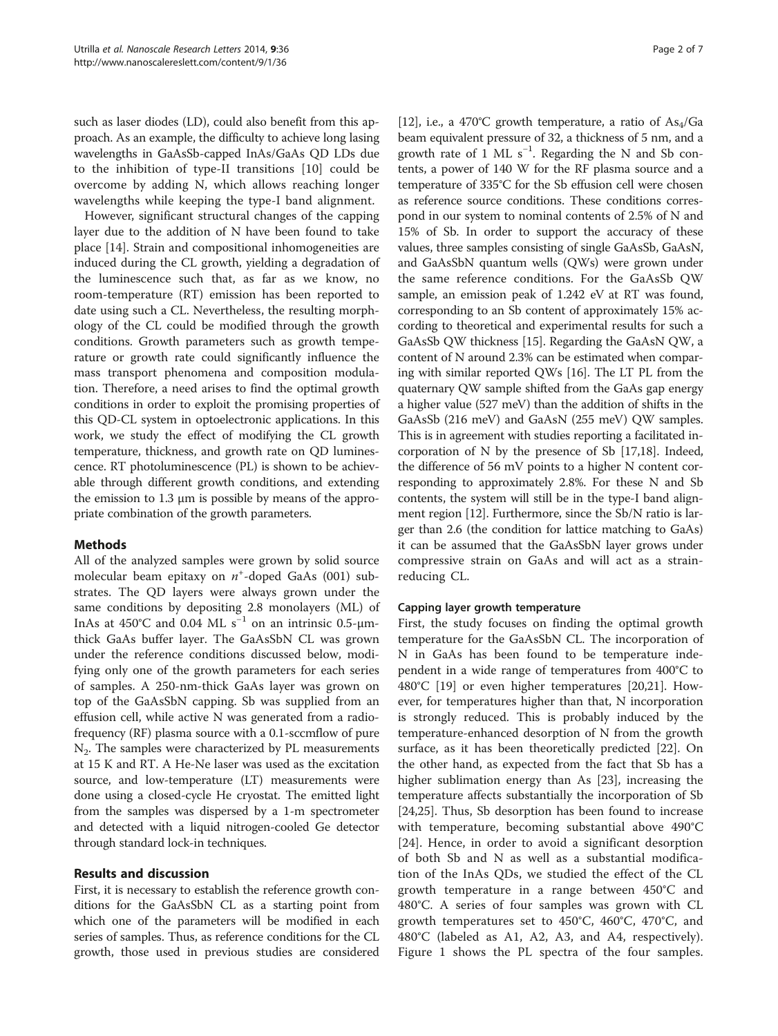such as laser diodes (LD), could also benefit from this approach. As an example, the difficulty to achieve long lasing wavelengths in GaAsSb-capped InAs/GaAs QD LDs due to the inhibition of type-II transitions [[10](#page-6-0)] could be overcome by adding N, which allows reaching longer wavelengths while keeping the type-I band alignment.

However, significant structural changes of the capping layer due to the addition of N have been found to take place [[14\]](#page-6-0). Strain and compositional inhomogeneities are induced during the CL growth, yielding a degradation of the luminescence such that, as far as we know, no room-temperature (RT) emission has been reported to date using such a CL. Nevertheless, the resulting morphology of the CL could be modified through the growth conditions. Growth parameters such as growth temperature or growth rate could significantly influence the mass transport phenomena and composition modulation. Therefore, a need arises to find the optimal growth conditions in order to exploit the promising properties of this QD-CL system in optoelectronic applications. In this work, we study the effect of modifying the CL growth temperature, thickness, and growth rate on QD luminescence. RT photoluminescence (PL) is shown to be achievable through different growth conditions, and extending the emission to 1.3 μm is possible by means of the appropriate combination of the growth parameters.

# Methods

All of the analyzed samples were grown by solid source molecular beam epitaxy on  $n^+$ -doped GaAs (001) substrates. The QD layers were always grown under the same conditions by depositing 2.8 monolayers (ML) of InAs at 450°C and 0.04 ML s<sup>-1</sup> on an intrinsic 0.5- $\mu$ mthick GaAs buffer layer. The GaAsSbN CL was grown under the reference conditions discussed below, modifying only one of the growth parameters for each series of samples. A 250-nm-thick GaAs layer was grown on top of the GaAsSbN capping. Sb was supplied from an effusion cell, while active N was generated from a radiofrequency (RF) plasma source with a 0.1-sccmflow of pure  $N_2$ . The samples were characterized by PL measurements at 15 K and RT. A He-Ne laser was used as the excitation source, and low-temperature (LT) measurements were done using a closed-cycle He cryostat. The emitted light from the samples was dispersed by a 1-m spectrometer and detected with a liquid nitrogen-cooled Ge detector through standard lock-in techniques.

# Results and discussion

First, it is necessary to establish the reference growth conditions for the GaAsSbN CL as a starting point from which one of the parameters will be modified in each series of samples. Thus, as reference conditions for the CL growth, those used in previous studies are considered

[[12](#page-6-0)], i.e., a 470°C growth temperature, a ratio of  $As<sub>4</sub>/Ga$ beam equivalent pressure of 32, a thickness of 5 nm, and a growth rate of 1 ML  $s^{-1}$ . Regarding the N and Sb contents, a power of 140 W for the RF plasma source and a temperature of 335°C for the Sb effusion cell were chosen as reference source conditions. These conditions correspond in our system to nominal contents of 2.5% of N and 15% of Sb. In order to support the accuracy of these values, three samples consisting of single GaAsSb, GaAsN, and GaAsSbN quantum wells (QWs) were grown under the same reference conditions. For the GaAsSb QW sample, an emission peak of 1.242 eV at RT was found, corresponding to an Sb content of approximately 15% according to theoretical and experimental results for such a GaAsSb QW thickness [\[15\]](#page-6-0). Regarding the GaAsN QW, a content of N around 2.3% can be estimated when comparing with similar reported QWs [\[16\]](#page-6-0). The LT PL from the quaternary QW sample shifted from the GaAs gap energy a higher value (527 meV) than the addition of shifts in the GaAsSb (216 meV) and GaAsN (255 meV) QW samples. This is in agreement with studies reporting a facilitated incorporation of N by the presence of Sb [\[17,18\]](#page-6-0). Indeed, the difference of 56 mV points to a higher N content corresponding to approximately 2.8%. For these N and Sb contents, the system will still be in the type-I band alignment region [\[12](#page-6-0)]. Furthermore, since the Sb/N ratio is larger than 2.6 (the condition for lattice matching to GaAs) it can be assumed that the GaAsSbN layer grows under compressive strain on GaAs and will act as a strainreducing CL.

# Capping layer growth temperature

First, the study focuses on finding the optimal growth temperature for the GaAsSbN CL. The incorporation of N in GaAs has been found to be temperature independent in a wide range of temperatures from 400°C to 480°C [[19\]](#page-6-0) or even higher temperatures [[20,21](#page-6-0)]. However, for temperatures higher than that, N incorporation is strongly reduced. This is probably induced by the temperature-enhanced desorption of N from the growth surface, as it has been theoretically predicted [[22\]](#page-6-0). On the other hand, as expected from the fact that Sb has a higher sublimation energy than As [\[23](#page-6-0)], increasing the temperature affects substantially the incorporation of Sb [[24,25\]](#page-6-0). Thus, Sb desorption has been found to increase with temperature, becoming substantial above 490°C [[24\]](#page-6-0). Hence, in order to avoid a significant desorption of both Sb and N as well as a substantial modification of the InAs QDs, we studied the effect of the CL growth temperature in a range between 450°C and 480°C. A series of four samples was grown with CL growth temperatures set to 450°C, 460°C, 470°C, and 480°C (labeled as A1, A2, A3, and A4, respectively). Figure [1](#page-2-0) shows the PL spectra of the four samples.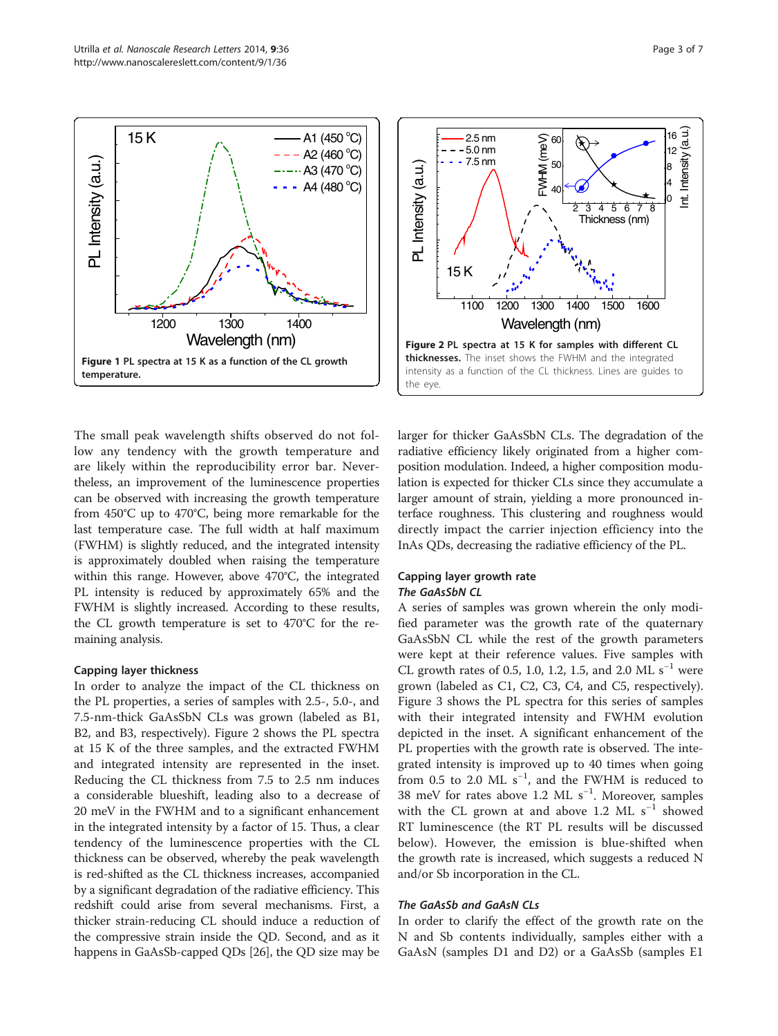<span id="page-2-0"></span>

The small peak wavelength shifts observed do not follow any tendency with the growth temperature and are likely within the reproducibility error bar. Nevertheless, an improvement of the luminescence properties can be observed with increasing the growth temperature from 450°C up to 470°C, being more remarkable for the last temperature case. The full width at half maximum (FWHM) is slightly reduced, and the integrated intensity is approximately doubled when raising the temperature within this range. However, above 470°C, the integrated PL intensity is reduced by approximately 65% and the FWHM is slightly increased. According to these results, the CL growth temperature is set to 470°C for the remaining analysis.

#### Capping layer thickness

In order to analyze the impact of the CL thickness on the PL properties, a series of samples with 2.5-, 5.0-, and 7.5-nm-thick GaAsSbN CLs was grown (labeled as B1, B2, and B3, respectively). Figure 2 shows the PL spectra at 15 K of the three samples, and the extracted FWHM and integrated intensity are represented in the inset. Reducing the CL thickness from 7.5 to 2.5 nm induces a considerable blueshift, leading also to a decrease of 20 meV in the FWHM and to a significant enhancement in the integrated intensity by a factor of 15. Thus, a clear tendency of the luminescence properties with the CL thickness can be observed, whereby the peak wavelength is red-shifted as the CL thickness increases, accompanied by a significant degradation of the radiative efficiency. This redshift could arise from several mechanisms. First, a thicker strain-reducing CL should induce a reduction of the compressive strain inside the QD. Second, and as it happens in GaAsSb-capped QDs [[26\]](#page-6-0), the QD size may be



larger for thicker GaAsSbN CLs. The degradation of the radiative efficiency likely originated from a higher composition modulation. Indeed, a higher composition modulation is expected for thicker CLs since they accumulate a larger amount of strain, yielding a more pronounced interface roughness. This clustering and roughness would directly impact the carrier injection efficiency into the InAs QDs, decreasing the radiative efficiency of the PL.

#### Capping layer growth rate The GaAsSbN CL

A series of samples was grown wherein the only modified parameter was the growth rate of the quaternary GaAsSbN CL while the rest of the growth parameters were kept at their reference values. Five samples with CL growth rates of 0.5, 1.0, 1.2, 1.5, and 2.0 ML s<sup>-1</sup> were grown (labeled as C1, C2, C3, C4, and C5, respectively). Figure [3](#page-3-0) shows the PL spectra for this series of samples with their integrated intensity and FWHM evolution depicted in the inset. A significant enhancement of the PL properties with the growth rate is observed. The integrated intensity is improved up to 40 times when going from 0.5 to 2.0 ML  $s^{-1}$ , and the FWHM is reduced to 38 meV for rates above 1.2 ML s<sup>-1</sup>. Moreover, samples with the CL grown at and above 1.2 ML  $s^{-1}$  showed RT luminescence (the RT PL results will be discussed below). However, the emission is blue-shifted when the growth rate is increased, which suggests a reduced N and/or Sb incorporation in the CL.

# The GaAsSb and GaAsN CLs

In order to clarify the effect of the growth rate on the N and Sb contents individually, samples either with a GaAsN (samples D1 and D2) or a GaAsSb (samples E1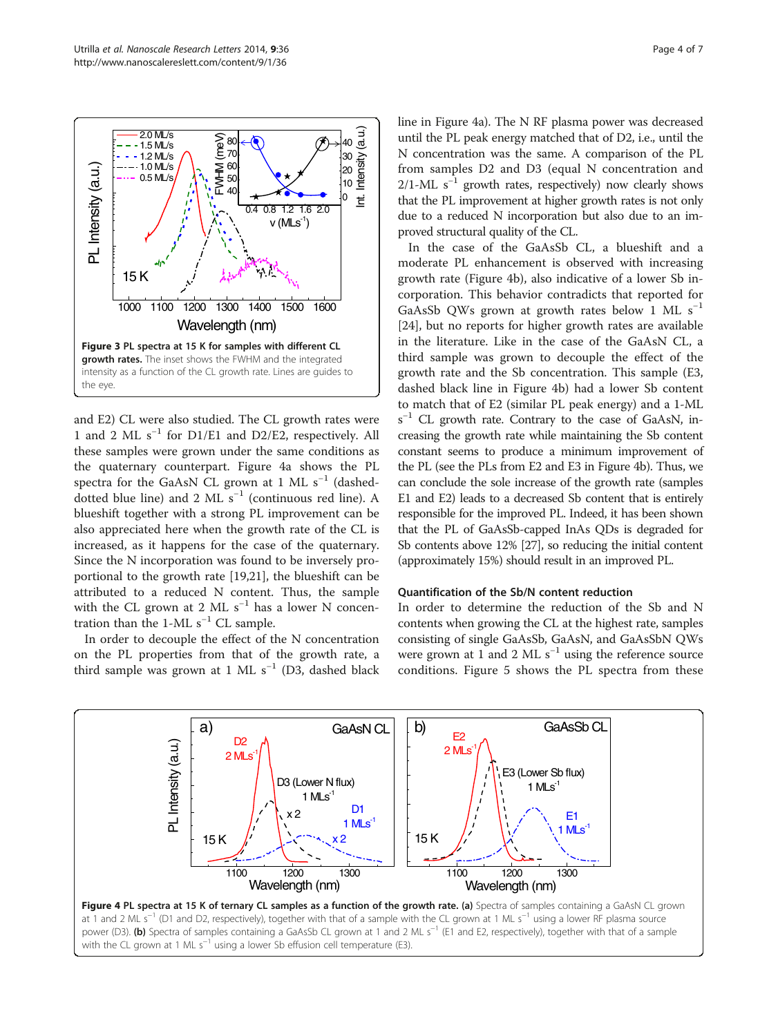<span id="page-3-0"></span>

and E2) CL were also studied. The CL growth rates were 1 and 2 ML s−<sup>1</sup> for D1/E1 and D2/E2, respectively. All these samples were grown under the same conditions as the quaternary counterpart. Figure 4a shows the PL spectra for the GaAsN CL grown at 1 ML s<sup>-1</sup> (dasheddotted blue line) and 2 ML  $s^{-1}$  (continuous red line). A blueshift together with a strong PL improvement can be also appreciated here when the growth rate of the CL is increased, as it happens for the case of the quaternary. Since the N incorporation was found to be inversely proportional to the growth rate [[19,21\]](#page-6-0), the blueshift can be attributed to a reduced N content. Thus, the sample with the CL grown at 2 ML  $s^{-1}$  has a lower N concentration than the 1-ML  $s^{-1}$  CL sample.

In order to decouple the effect of the N concentration on the PL properties from that of the growth rate, a third sample was grown at 1 ML s<sup>-1</sup> (D3, dashed black line in Figure 4a). The N RF plasma power was decreased until the PL peak energy matched that of D2, i.e., until the N concentration was the same. A comparison of the PL from samples D2 and D3 (equal N concentration and  $2/1$ -ML s<sup>-1</sup> growth rates, respectively) now clearly shows that the PL improvement at higher growth rates is not only due to a reduced N incorporation but also due to an improved structural quality of the CL.

In the case of the GaAsSb CL, a blueshift and a moderate PL enhancement is observed with increasing growth rate (Figure 4b), also indicative of a lower Sb incorporation. This behavior contradicts that reported for GaAsSb QWs grown at growth rates below 1 ML  $s^{-1}$ [[24\]](#page-6-0), but no reports for higher growth rates are available in the literature. Like in the case of the GaAsN CL, a third sample was grown to decouple the effect of the growth rate and the Sb concentration. This sample (E3, dashed black line in Figure 4b) had a lower Sb content to match that of E2 (similar PL peak energy) and a 1-ML s<sup>-1</sup> CL growth rate. Contrary to the case of GaAsN, increasing the growth rate while maintaining the Sb content constant seems to produce a minimum improvement of the PL (see the PLs from E2 and E3 in Figure 4b). Thus, we can conclude the sole increase of the growth rate (samples E1 and E2) leads to a decreased Sb content that is entirely responsible for the improved PL. Indeed, it has been shown that the PL of GaAsSb-capped InAs QDs is degraded for Sb contents above 12% [\[27](#page-6-0)], so reducing the initial content (approximately 15%) should result in an improved PL.

#### Quantification of the Sb/N content reduction

In order to determine the reduction of the Sb and N contents when growing the CL at the highest rate, samples consisting of single GaAsSb, GaAsN, and GaAsSbN QWs were grown at 1 and 2 ML  $s^{-1}$  using the reference source conditions. Figure [5](#page-4-0) shows the PL spectra from these

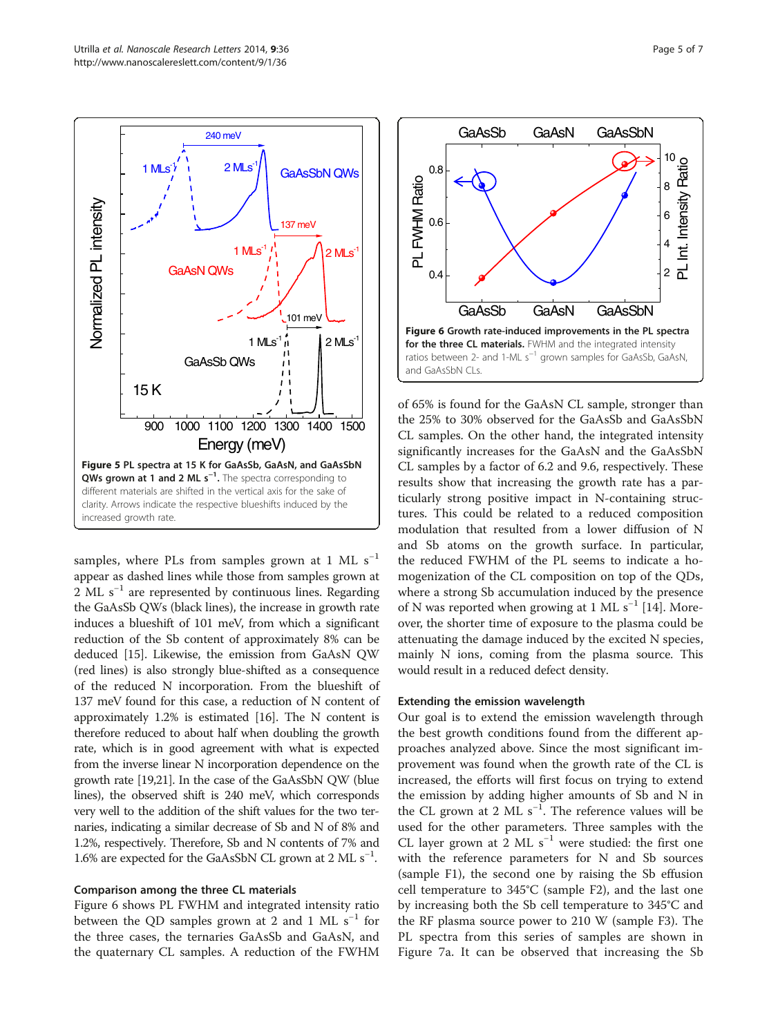<span id="page-4-0"></span>

samples, where PLs from samples grown at 1 ML  $s^{-1}$ appear as dashed lines while those from samples grown at 2 ML s<sup>-1</sup> are represented by continuous lines. Regarding the GaAsSb QWs (black lines), the increase in growth rate induces a blueshift of 101 meV, from which a significant reduction of the Sb content of approximately 8% can be deduced [[15](#page-6-0)]. Likewise, the emission from GaAsN QW (red lines) is also strongly blue-shifted as a consequence of the reduced N incorporation. From the blueshift of 137 meV found for this case, a reduction of N content of approximately 1.2% is estimated [\[16](#page-6-0)]. The N content is therefore reduced to about half when doubling the growth rate, which is in good agreement with what is expected from the inverse linear N incorporation dependence on the growth rate [\[19,21\]](#page-6-0). In the case of the GaAsSbN QW (blue lines), the observed shift is 240 meV, which corresponds very well to the addition of the shift values for the two ternaries, indicating a similar decrease of Sb and N of 8% and 1.2%, respectively. Therefore, Sb and N contents of 7% and 1.6% are expected for the GaAsSbN CL grown at 2 ML s<sup>-1</sup>.

#### Comparison among the three CL materials

Figure 6 shows PL FWHM and integrated intensity ratio between the QD samples grown at 2 and 1 ML  $s^{-1}$  for the three cases, the ternaries GaAsSb and GaAsN, and the quaternary CL samples. A reduction of the FWHM



of 65% is found for the GaAsN CL sample, stronger than the 25% to 30% observed for the GaAsSb and GaAsSbN CL samples. On the other hand, the integrated intensity significantly increases for the GaAsN and the GaAsSbN CL samples by a factor of 6.2 and 9.6, respectively. These results show that increasing the growth rate has a particularly strong positive impact in N-containing structures. This could be related to a reduced composition modulation that resulted from a lower diffusion of N and Sb atoms on the growth surface. In particular, the reduced FWHM of the PL seems to indicate a homogenization of the CL composition on top of the QDs, where a strong Sb accumulation induced by the presence of N was reported when growing at 1 ML s<sup>-1</sup> [[14\]](#page-6-0). Moreover, the shorter time of exposure to the plasma could be attenuating the damage induced by the excited N species, mainly N ions, coming from the plasma source. This would result in a reduced defect density.

#### Extending the emission wavelength

Our goal is to extend the emission wavelength through the best growth conditions found from the different approaches analyzed above. Since the most significant improvement was found when the growth rate of the CL is increased, the efforts will first focus on trying to extend the emission by adding higher amounts of Sb and N in the CL grown at 2 ML  $s^{-1}$ . The reference values will be used for the other parameters. Three samples with the CL layer grown at 2 ML  $s^{-1}$  were studied: the first one with the reference parameters for N and Sb sources (sample F1), the second one by raising the Sb effusion cell temperature to 345°C (sample F2), and the last one by increasing both the Sb cell temperature to 345°C and the RF plasma source power to 210 W (sample F3). The PL spectra from this series of samples are shown in Figure [7](#page-5-0)a. It can be observed that increasing the Sb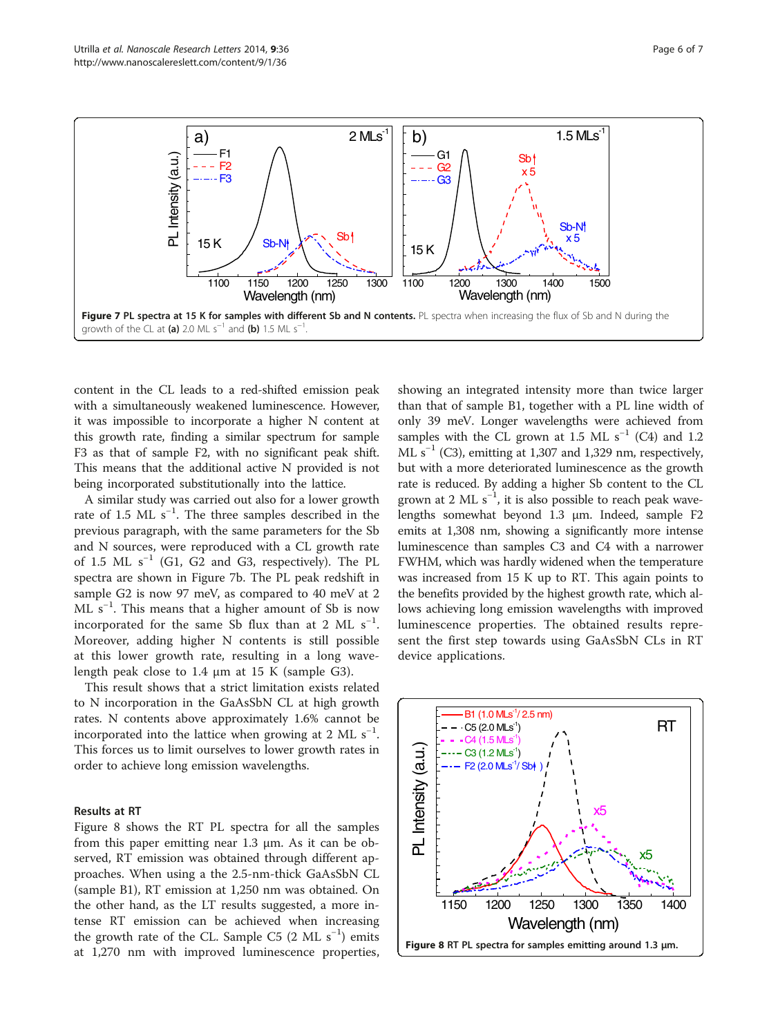<span id="page-5-0"></span>

content in the CL leads to a red-shifted emission peak with a simultaneously weakened luminescence. However, it was impossible to incorporate a higher N content at this growth rate, finding a similar spectrum for sample F3 as that of sample F2, with no significant peak shift. This means that the additional active N provided is not being incorporated substitutionally into the lattice.

A similar study was carried out also for a lower growth rate of 1.5 ML  $s^{-1}$ . The three samples described in the previous paragraph, with the same parameters for the Sb and N sources, were reproduced with a CL growth rate of 1.5 ML  $s^{-1}$  (G1, G2 and G3, respectively). The PL spectra are shown in Figure 7b. The PL peak redshift in sample G2 is now 97 meV, as compared to 40 meV at 2 ML s−<sup>1</sup> . This means that a higher amount of Sb is now incorporated for the same Sb flux than at 2 ML  $s^{-1}$ . Moreover, adding higher N contents is still possible at this lower growth rate, resulting in a long wavelength peak close to 1.4 μm at 15 K (sample G3).

This result shows that a strict limitation exists related to N incorporation in the GaAsSbN CL at high growth rates. N contents above approximately 1.6% cannot be incorporated into the lattice when growing at 2 ML  $s^{-1}$ . This forces us to limit ourselves to lower growth rates in order to achieve long emission wavelengths.

#### Results at RT

Figure 8 shows the RT PL spectra for all the samples from this paper emitting near 1.3 μm. As it can be observed, RT emission was obtained through different approaches. When using a the 2.5-nm-thick GaAsSbN CL (sample B1), RT emission at 1,250 nm was obtained. On the other hand, as the LT results suggested, a more intense RT emission can be achieved when increasing the growth rate of the CL. Sample C5  $(2 \text{ ML } s^{-1})$  emits at 1,270 nm with improved luminescence properties,

showing an integrated intensity more than twice larger than that of sample B1, together with a PL line width of only 39 meV. Longer wavelengths were achieved from samples with the CL grown at 1.5 ML s<sup>-1</sup> (C4) and 1.2 ML  $s^{-1}$  (C3), emitting at 1,307 and 1,329 nm, respectively, but with a more deteriorated luminescence as the growth rate is reduced. By adding a higher Sb content to the CL grown at 2 ML  $s^{-1}$ , it is also possible to reach peak wavelengths somewhat beyond 1.3 μm. Indeed, sample F2 emits at 1,308 nm, showing a significantly more intense luminescence than samples C3 and C4 with a narrower FWHM, which was hardly widened when the temperature was increased from 15 K up to RT. This again points to the benefits provided by the highest growth rate, which allows achieving long emission wavelengths with improved luminescence properties. The obtained results represent the first step towards using GaAsSbN CLs in RT device applications.